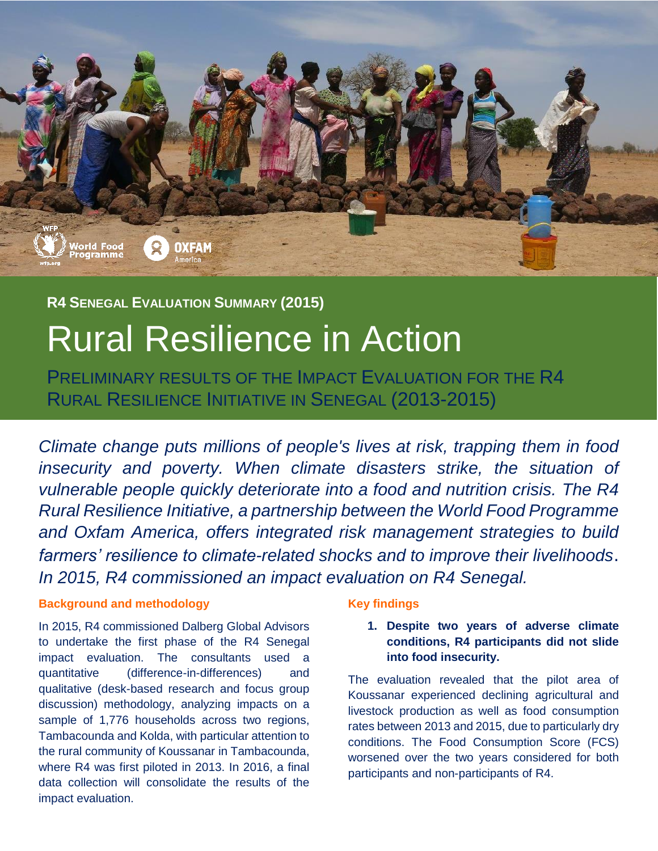

## **R4 SENEGAL EVALUATION SUMMARY (2015)**

# Rural Resilience in Action

PRELIMINARY RESULTS OF THE IMPACT EVALUATION FOR THE R4 RURAL RESILIENCE INITIATIVE IN SENEGAL (2013-2015)

*Climate change puts millions of people's lives at risk, trapping them in food insecurity and poverty. When climate disasters strike, the situation of vulnerable people quickly deteriorate into a food and nutrition crisis. The R4 Rural Resilience Initiative, a partnership between the World Food Programme and Oxfam America, offers integrated risk management strategies to build farmers' resilience to climate-related shocks and to improve their livelihoods*. *In 2015, R4 commissioned an impact evaluation on R4 Senegal.*

## **Background and methodology**

In 2015, R4 commissioned Dalberg Global Advisors to undertake the first phase of the R4 Senegal impact evaluation. The consultants used a quantitative (difference-in-differences) and qualitative (desk-based research and focus group discussion) methodology, analyzing impacts on a sample of 1,776 households across two regions, Tambacounda and Kolda, with particular attention to the rural community of Koussanar in Tambacounda, where R4 was first piloted in 2013. In 2016, a final data collection will consolidate the results of the impact evaluation.

## **Key findings**

## **1. Despite two years of adverse climate conditions, R4 participants did not slide into food insecurity.**

The evaluation revealed that the pilot area of Koussanar experienced declining agricultural and livestock production as well as food consumption rates between 2013 and 2015, due to particularly dry conditions. The Food Consumption Score (FCS) worsened over the two years considered for both participants and non-participants of R4.